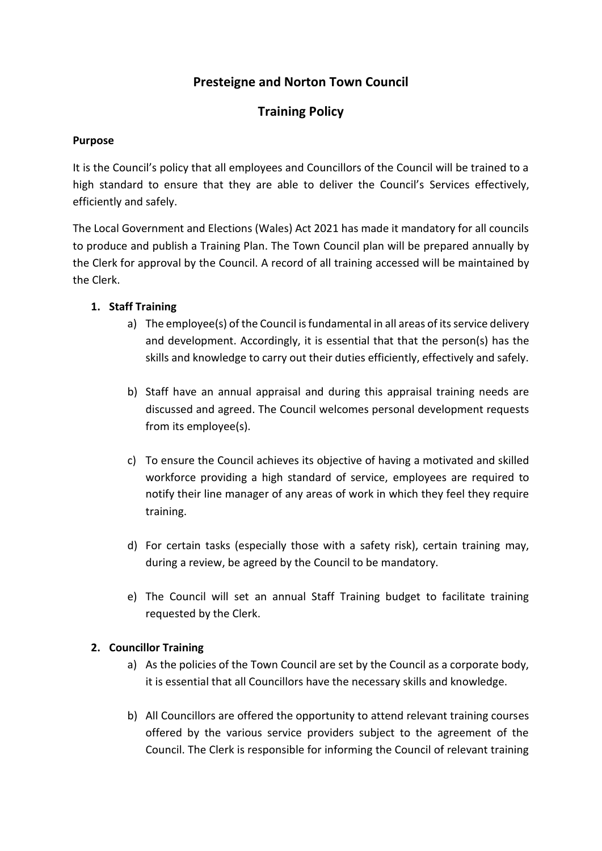# **Presteigne and Norton Town Council**

# **Training Policy**

#### **Purpose**

It is the Council's policy that all employees and Councillors of the Council will be trained to a high standard to ensure that they are able to deliver the Council's Services effectively, efficiently and safely.

The Local Government and Elections (Wales) Act 2021 has made it mandatory for all councils to produce and publish a Training Plan. The Town Council plan will be prepared annually by the Clerk for approval by the Council. A record of all training accessed will be maintained by the Clerk.

### **1. Staff Training**

- a) The employee(s) of the Council is fundamental in all areas of its service delivery and development. Accordingly, it is essential that that the person(s) has the skills and knowledge to carry out their duties efficiently, effectively and safely.
- b) Staff have an annual appraisal and during this appraisal training needs are discussed and agreed. The Council welcomes personal development requests from its employee(s).
- c) To ensure the Council achieves its objective of having a motivated and skilled workforce providing a high standard of service, employees are required to notify their line manager of any areas of work in which they feel they require training.
- d) For certain tasks (especially those with a safety risk), certain training may, during a review, be agreed by the Council to be mandatory.
- e) The Council will set an annual Staff Training budget to facilitate training requested by the Clerk.

### **2. Councillor Training**

- a) As the policies of the Town Council are set by the Council as a corporate body, it is essential that all Councillors have the necessary skills and knowledge.
- b) All Councillors are offered the opportunity to attend relevant training courses offered by the various service providers subject to the agreement of the Council. The Clerk is responsible for informing the Council of relevant training